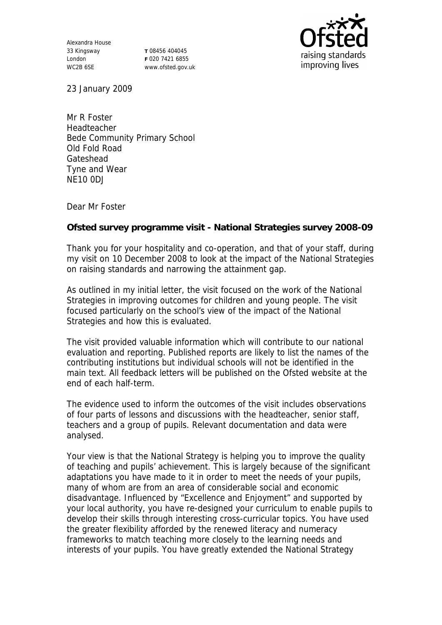Alexandra House 33 Kingsway London WC2B 6SE

**T** 08456 404045 **F** 020 7421 6855 www.ofsted.gov.uk



23 January 2009

Mr R Foster Headteacher Bede Community Primary School Old Fold Road Gateshead Tyne and Wear NE10 0DJ

Dear Mr Foster

**Ofsted survey programme visit - National Strategies survey 2008-09**

Thank you for your hospitality and co-operation, and that of your staff, during my visit on 10 December 2008 to look at the impact of the National Strategies on raising standards and narrowing the attainment gap.

As outlined in my initial letter, the visit focused on the work of the National Strategies in improving outcomes for children and young people. The visit focused particularly on the school's view of the impact of the National Strategies and how this is evaluated.

The visit provided valuable information which will contribute to our national evaluation and reporting. Published reports are likely to list the names of the contributing institutions but individual schools will not be identified in the main text. All feedback letters will be published on the Ofsted website at the end of each half-term.

The evidence used to inform the outcomes of the visit includes observations of four parts of lessons and discussions with the headteacher, senior staff, teachers and a group of pupils. Relevant documentation and data were analysed.

Your view is that the National Strategy is helping you to improve the quality of teaching and pupils' achievement. This is largely because of the significant adaptations you have made to it in order to meet the needs of your pupils, many of whom are from an area of considerable social and economic disadvantage. Influenced by "Excellence and Enjoyment" and supported by your local authority, you have re-designed your curriculum to enable pupils to develop their skills through interesting cross-curricular topics. You have used the greater flexibility afforded by the renewed literacy and numeracy frameworks to match teaching more closely to the learning needs and interests of your pupils. You have greatly extended the National Strategy